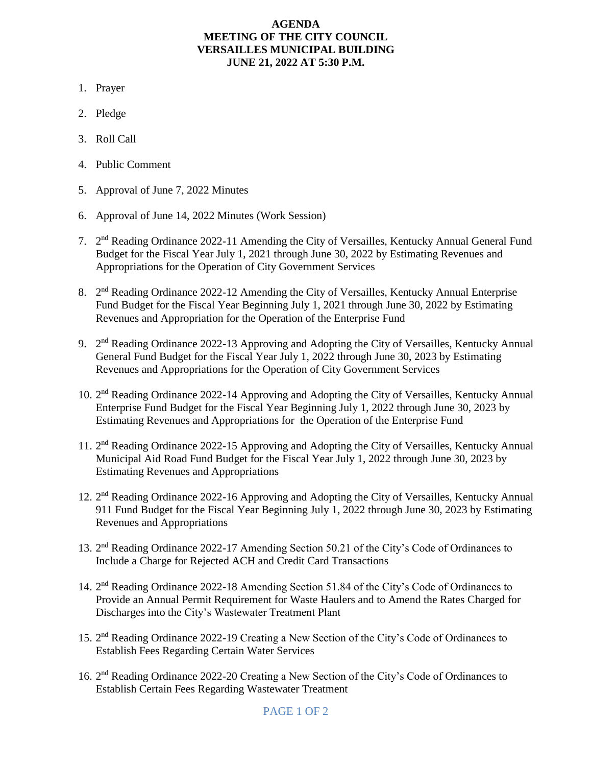## **AGENDA MEETING OF THE CITY COUNCIL VERSAILLES MUNICIPAL BUILDING JUNE 21, 2022 AT 5:30 P.M.**

- 1. Prayer
- 2. Pledge
- 3. Roll Call
- 4. Public Comment
- 5. Approval of June 7, 2022 Minutes
- 6. Approval of June 14, 2022 Minutes (Work Session)
- 7. 2<sup>nd</sup> Reading Ordinance 2022-11 Amending the City of Versailles, Kentucky Annual General Fund Budget for the Fiscal Year July 1, 2021 through June 30, 2022 by Estimating Revenues and Appropriations for the Operation of City Government Services
- 8. 2<sup>nd</sup> Reading Ordinance 2022-12 Amending the City of Versailles, Kentucky Annual Enterprise Fund Budget for the Fiscal Year Beginning July 1, 2021 through June 30, 2022 by Estimating Revenues and Appropriation for the Operation of the Enterprise Fund
- 9.  $2<sup>nd</sup>$  Reading Ordinance 2022-13 Approving and Adopting the City of Versailles, Kentucky Annual General Fund Budget for the Fiscal Year July 1, 2022 through June 30, 2023 by Estimating Revenues and Appropriations for the Operation of City Government Services
- 10. 2<sup>nd</sup> Reading Ordinance 2022-14 Approving and Adopting the City of Versailles, Kentucky Annual Enterprise Fund Budget for the Fiscal Year Beginning July 1, 2022 through June 30, 2023 by Estimating Revenues and Appropriations for the Operation of the Enterprise Fund
- 11. 2<sup>nd</sup> Reading Ordinance 2022-15 Approving and Adopting the City of Versailles, Kentucky Annual Municipal Aid Road Fund Budget for the Fiscal Year July 1, 2022 through June 30, 2023 by Estimating Revenues and Appropriations
- 12. 2<sup>nd</sup> Reading Ordinance 2022-16 Approving and Adopting the City of Versailles, Kentucky Annual 911 Fund Budget for the Fiscal Year Beginning July 1, 2022 through June 30, 2023 by Estimating Revenues and Appropriations
- 13. 2<sup>nd</sup> Reading Ordinance 2022-17 Amending Section 50.21 of the City's Code of Ordinances to Include a Charge for Rejected ACH and Credit Card Transactions
- 14. 2<sup>nd</sup> Reading Ordinance 2022-18 Amending Section 51.84 of the City's Code of Ordinances to Provide an Annual Permit Requirement for Waste Haulers and to Amend the Rates Charged for Discharges into the City's Wastewater Treatment Plant
- 15. 2<sup>nd</sup> Reading Ordinance 2022-19 Creating a New Section of the City's Code of Ordinances to Establish Fees Regarding Certain Water Services
- 16. 2<sup>nd</sup> Reading Ordinance 2022-20 Creating a New Section of the City's Code of Ordinances to Establish Certain Fees Regarding Wastewater Treatment